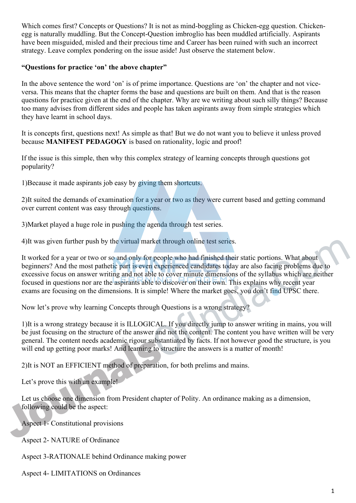Which comes first? Concepts or Questions? It is not as mind-boggling as Chicken-egg question. Chickenegg is naturally muddling. But the Concept-Question imbroglio has been muddled artificially. Aspirants have been misguided, misled and their precious time and Career has been ruined with such an incorrect strategy. Leave complex pondering on the issue aside! Just observe the statement below.

## **"Questions for practice 'on' the above chapter"**

In the above sentence the word 'on' is of prime importance. Questions are 'on' the chapter and not viceversa. This means that the chapter forms the base and questions are built on them. And that is the reason questions for practice given at the end of the chapter. Why are we writing about such silly things? Because too many advises from different sides and people has taken aspirants away from simple strategies which they have learnt in school days.

It is concepts first, questions next! As simple as that! But we do not want you to believe it unless proved because **MANIFEST PEDAGOGY** is based on rationality, logic and proof!

If the issue is this simple, then why this complex strategy of learning concepts through questions got popularity?

1)Because it made aspirants job easy by giving them shortcuts.

2)It suited the demands of examination for a year or two as they were current based and getting command over current content was easy through questions.

3)Market played a huge role in pushing the agenda through test series.

4)It was given further push by the virtual market through online test series.

It worked for a year or two or so and only for people who had finished their static portions. What about beginners? And the most pathetic part is even experienced candidates today are also facing problems due to excessive focus on answer writing and not able to cover minute dimensions of the syllabus which are neither focused in questions nor are the aspirants able to discover on their own. This explains why recent year exams are focusing on the dimensions. It is simple! Where the market goes, you don't find UPSC there. 4)It was given further push by the virtual market through online test series.<br>
It worked for a year or two or so and only for people who had finished their static portions. What about<br>
beginnes? And the most pathetic part

Now let's prove why learning Concepts through Questions is a wrong strategy?

1)It is a wrong strategy because it is ILLOGICAL. If you directly jump to answer writing in mains, you will be just focusing on the structure of the answer and not the content. The content you have written will be very general. The content needs academic rigour substantiated by facts. If not however good the structure, is you will end up getting poor marks! And learning to structure the answers is a matter of month!

2)It is NOT an EFFICIENT method of preparation, for both prelims and mains.

Let's prove this with an example!

Let us choose one dimension from President chapter of Polity. An ordinance making as a dimension, following could be the aspect:

Aspect 1- Constitutional provisions

Aspect 2- NATURE of Ordinance

Aspect 3-RATIONALE behind Ordinance making power

Aspect 4- LIMITATIONS on Ordinances